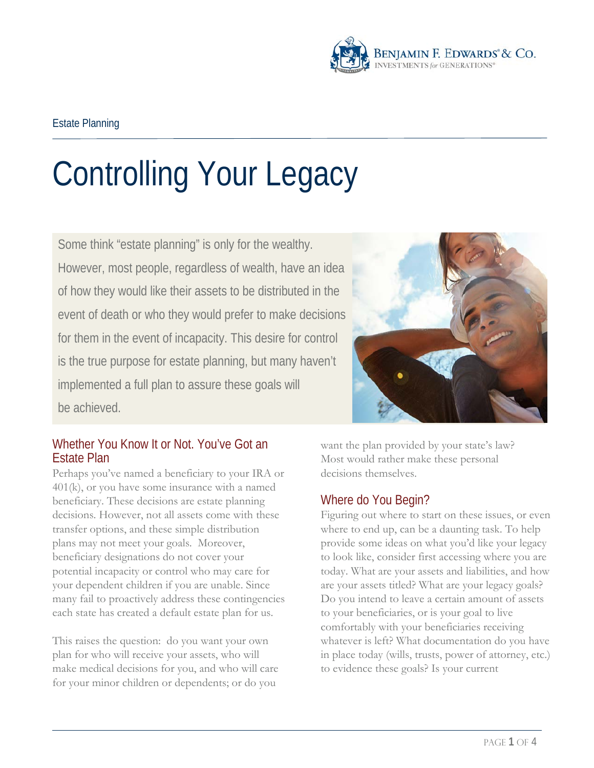

# Controlling Your Legacy

Some think "estate planning" is only for the wealthy. However, most people, regardless of wealth, have an idea of how they would like their assets to be distributed in the event of death or who they would prefer to make decisions for them in the event of incapacity. This desire for control is the true purpose for estate planning, but many haven't implemented a full plan to assure these goals will be achieved.



## Whether You Know It or Not. You've Got an Estate Plan

Perhaps you've named a beneficiary to your IRA or 401(k), or you have some insurance with a named beneficiary. These decisions are estate planning decisions. However, not all assets come with these transfer options, and these simple distribution plans may not meet your goals. Moreover, beneficiary designations do not cover your potential incapacity or control who may care for your dependent children if you are unable. Since many fail to proactively address these contingencies each state has created a default estate plan for us.

This raises the question: do you want your own plan for who will receive your assets, who will make medical decisions for you, and who will care for your minor children or dependents; or do you

want the plan provided by your state's law? Most would rather make these personal decisions themselves.

# Where do You Begin?

Figuring out where to start on these issues, or even where to end up, can be a daunting task. To help provide some ideas on what you'd like your legacy to look like, consider first accessing where you are today. What are your assets and liabilities, and how are your assets titled? What are your legacy goals? Do you intend to leave a certain amount of assets to your beneficiaries, or is your goal to live comfortably with your beneficiaries receiving whatever is left? What documentation do you have in place today (wills, trusts, power of attorney, etc.) to evidence these goals? Is your current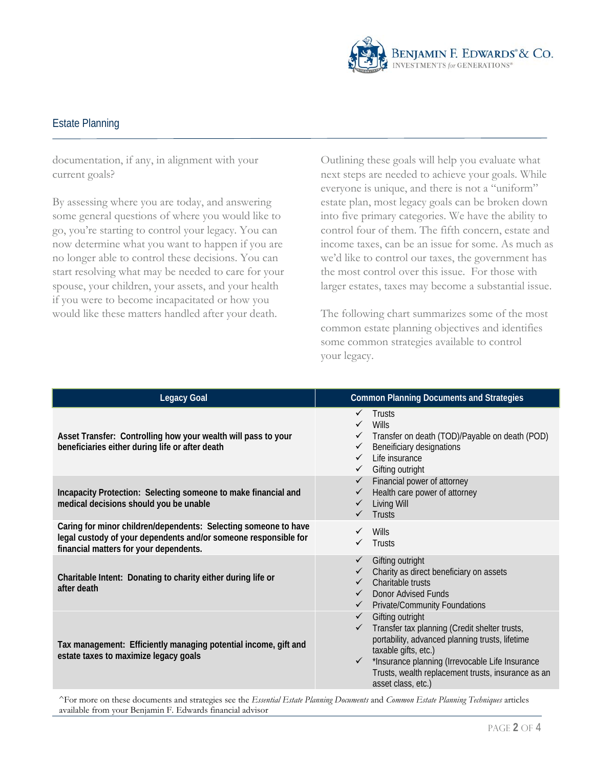

#### Estate Planning

documentation, if any, in alignment with your current goals?

By assessing where you are today, and answering some general questions of where you would like to go, you're starting to control your legacy. You can now determine what you want to happen if you are no longer able to control these decisions. You can start resolving what may be needed to care for your spouse, your children, your assets, and your health if you were to become incapacitated or how you would like these matters handled after your death.

Outlining these goals will help you evaluate what next steps are needed to achieve your goals. While everyone is unique, and there is not a "uniform" estate plan, most legacy goals can be broken down into five primary categories. We have the ability to control four of them. The fifth concern, estate and income taxes, can be an issue for some. As much as we'd like to control our taxes, the government has the most control over this issue. For those with larger estates, taxes may become a substantial issue.

The following chart summarizes some of the most common estate planning objectives and identifies some common strategies available to control your legacy.

| <b>Legacy Goal</b>                                                                                                                                                           | <b>Common Planning Documents and Strategies</b>                                                                                                                                                                                                                                             |
|------------------------------------------------------------------------------------------------------------------------------------------------------------------------------|---------------------------------------------------------------------------------------------------------------------------------------------------------------------------------------------------------------------------------------------------------------------------------------------|
| Asset Transfer: Controlling how your wealth will pass to your<br>beneficiaries either during life or after death                                                             | Trusts<br>Wills<br>Transfer on death (TOD)/Payable on death (POD)<br>Beneificiary designations<br>Life insurance<br>Gifting outright<br>$\checkmark$                                                                                                                                        |
| Incapacity Protection: Selecting someone to make financial and<br>medical decisions should you be unable                                                                     | Financial power of attorney<br>Health care power of attorney<br>Living Will<br>Trusts                                                                                                                                                                                                       |
| Caring for minor children/dependents: Selecting someone to have<br>legal custody of your dependents and/or someone responsible for<br>financial matters for your dependents. | Wills<br>Trusts                                                                                                                                                                                                                                                                             |
| Charitable Intent: Donating to charity either during life or<br>after death                                                                                                  | Gifting outright<br>Charity as direct beneficiary on assets<br>Charitable trusts<br>Donor Advised Funds<br><b>Private/Community Foundations</b>                                                                                                                                             |
| Tax management: Efficiently managing potential income, gift and<br>estate taxes to maximize legacy goals                                                                     | Gifting outright<br>$\checkmark$<br>Transfer tax planning (Credit shelter trusts,<br>portability, advanced planning trusts, lifetime<br>taxable gifts, etc.)<br>*Insurance planning (Irrevocable Life Insurance<br>Trusts, wealth replacement trusts, insurance as an<br>asset class, etc.) |

^For more on these documents and strategies see the *Essential Estate Planning Documents* and *Common Estate Planning Techniques* articles available from your Benjamin F. Edwards financial advisor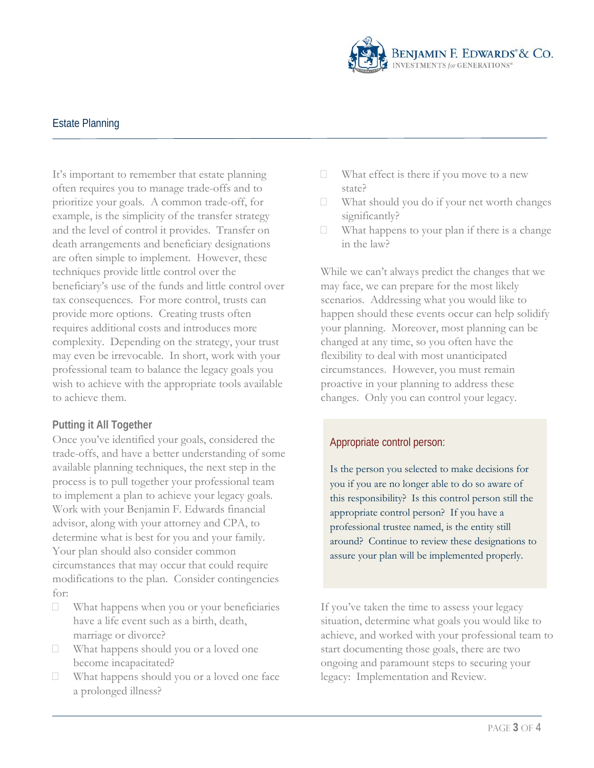

### Estate Planning

It's important to remember that estate planning often requires you to manage trade-offs and to prioritize your goals. A common trade-off, for example, is the simplicity of the transfer strategy and the level of control it provides. Transfer on death arrangements and beneficiary designations are often simple to implement. However, these techniques provide little control over the beneficiary's use of the funds and little control over tax consequences. For more control, trusts can provide more options. Creating trusts often requires additional costs and introduces more complexity. Depending on the strategy, your trust may even be irrevocable. In short, work with your professional team to balance the legacy goals you wish to achieve with the appropriate tools available to achieve them.

#### **Putting it All Together**

Once you've identified your goals, considered the trade-offs, and have a better understanding of some available planning techniques, the next step in the process is to pull together your professional team to implement a plan to achieve your legacy goals. Work with your Benjamin F. Edwards financial advisor, along with your attorney and CPA, to determine what is best for you and your family. Your plan should also consider common circumstances that may occur that could require modifications to the plan. Consider contingencies for:

- What happens when you or your beneficiaries have a life event such as a birth, death, marriage or divorce?
- What happens should you or a loved one become incapacitated?
- What happens should you or a loved one face a prolonged illness?
- $\Box$  What effect is there if you move to a new state?
- $\Box$  What should you do if your net worth changes significantly?
- $\Box$  What happens to your plan if there is a change in the law?

While we can't always predict the changes that we may face, we can prepare for the most likely scenarios. Addressing what you would like to happen should these events occur can help solidify your planning. Moreover, most planning can be changed at any time, so you often have the flexibility to deal with most unanticipated circumstances. However, you must remain proactive in your planning to address these changes. Only you can control your legacy.

#### Appropriate control person:

Is the person you selected to make decisions for you if you are no longer able to do so aware of this responsibility? Is this control person still the appropriate control person? If you have a professional trustee named, is the entity still around? Continue to review these designations to assure your plan will be implemented properly.

If you've taken the time to assess your legacy situation, determine what goals you would like to achieve, and worked with your professional team to start documenting those goals, there are two ongoing and paramount steps to securing your legacy: Implementation and Review.